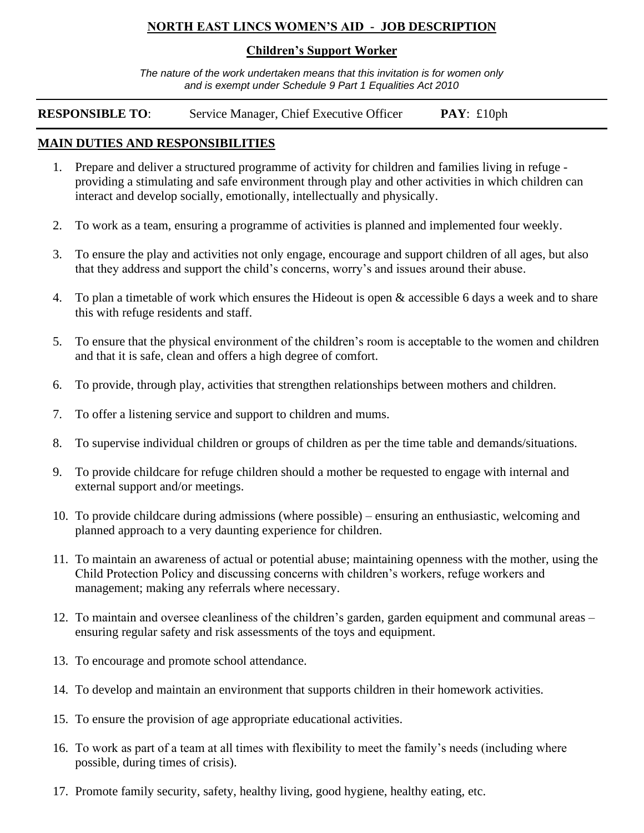### **NORTH EAST LINCS WOMEN'S AID - JOB DESCRIPTION**

#### **Children's Support Worker**

*The nature of the work undertaken means that this invitation is for women only and is exempt under Schedule 9 Part 1 Equalities Act 2010*

**RESPONSIBLE TO**: Service Manager, Chief Executive Officer **PAY**: £10ph

### **MAIN DUTIES AND RESPONSIBILITIES**

- 1. Prepare and deliver a structured programme of activity for children and families living in refuge providing a stimulating and safe environment through play and other activities in which children can interact and develop socially, emotionally, intellectually and physically.
- 2. To work as a team, ensuring a programme of activities is planned and implemented four weekly.
- 3. To ensure the play and activities not only engage, encourage and support children of all ages, but also that they address and support the child's concerns, worry's and issues around their abuse.
- 4. To plan a timetable of work which ensures the Hideout is open & accessible 6 days a week and to share this with refuge residents and staff.
- 5. To ensure that the physical environment of the children's room is acceptable to the women and children and that it is safe, clean and offers a high degree of comfort.
- 6. To provide, through play, activities that strengthen relationships between mothers and children.
- 7. To offer a listening service and support to children and mums.
- 8. To supervise individual children or groups of children as per the time table and demands/situations.
- 9. To provide childcare for refuge children should a mother be requested to engage with internal and external support and/or meetings.
- 10. To provide childcare during admissions (where possible) ensuring an enthusiastic, welcoming and planned approach to a very daunting experience for children.
- 11. To maintain an awareness of actual or potential abuse; maintaining openness with the mother, using the Child Protection Policy and discussing concerns with children's workers, refuge workers and management; making any referrals where necessary.
- 12. To maintain and oversee cleanliness of the children's garden, garden equipment and communal areas ensuring regular safety and risk assessments of the toys and equipment.
- 13. To encourage and promote school attendance.
- 14. To develop and maintain an environment that supports children in their homework activities.
- 15. To ensure the provision of age appropriate educational activities.
- 16. To work as part of a team at all times with flexibility to meet the family's needs (including where possible, during times of crisis).
- 17. Promote family security, safety, healthy living, good hygiene, healthy eating, etc.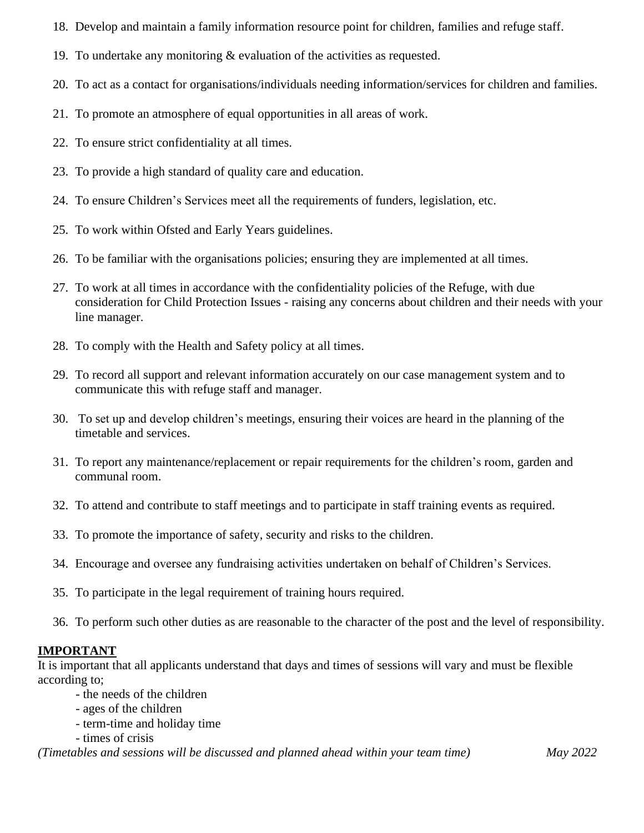- 18. Develop and maintain a family information resource point for children, families and refuge staff.
- 19. To undertake any monitoring & evaluation of the activities as requested.
- 20. To act as a contact for organisations/individuals needing information/services for children and families.
- 21. To promote an atmosphere of equal opportunities in all areas of work.
- 22. To ensure strict confidentiality at all times.
- 23. To provide a high standard of quality care and education.
- 24. To ensure Children's Services meet all the requirements of funders, legislation, etc.
- 25. To work within Ofsted and Early Years guidelines.
- 26. To be familiar with the organisations policies; ensuring they are implemented at all times.
- 27. To work at all times in accordance with the confidentiality policies of the Refuge, with due consideration for Child Protection Issues - raising any concerns about children and their needs with your line manager.
- 28. To comply with the Health and Safety policy at all times.
- 29. To record all support and relevant information accurately on our case management system and to communicate this with refuge staff and manager.
- 30. To set up and develop children's meetings, ensuring their voices are heard in the planning of the timetable and services.
- 31. To report any maintenance/replacement or repair requirements for the children's room, garden and communal room.
- 32. To attend and contribute to staff meetings and to participate in staff training events as required.
- 33. To promote the importance of safety, security and risks to the children.
- 34. Encourage and oversee any fundraising activities undertaken on behalf of Children's Services.
- 35. To participate in the legal requirement of training hours required.
- 36. To perform such other duties as are reasonable to the character of the post and the level of responsibility.

### **IMPORTANT**

It is important that all applicants understand that days and times of sessions will vary and must be flexible according to;

- the needs of the children
- ages of the children
- term-time and holiday time
- times of crisis

*(Timetables and sessions will be discussed and planned ahead within your team time) May 2022*